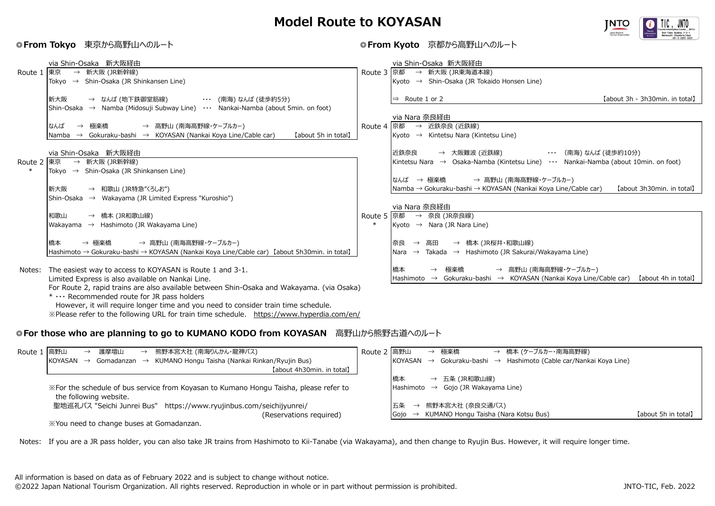## **Model Route to KOYASAN**



## **◎From Tokyo** 東京から高野山へのルート **◎From Kyoto** 京都から高野山へのルート

|            | via Shin-Osaka 新大阪経由                                                                                            |              | via Shin-Osaka 新大阪経由                                                                                 |
|------------|-----------------------------------------------------------------------------------------------------------------|--------------|------------------------------------------------------------------------------------------------------|
| Route 1 東京 | → 新大阪 (JR新幹線)                                                                                                   | Route 3 京都   | → 新大阪 (JR東海道本線)                                                                                      |
|            | Tokyo $\rightarrow$ Shin-Osaka (JR Shinkansen Line)                                                             |              | Kyoto $\rightarrow$ Shin-Osaka (JR Tokaido Honsen Line)                                              |
|            |                                                                                                                 |              |                                                                                                      |
|            | 新大阪<br>→ なんば (地下鉄御堂筋線)<br>・・・ (南海) なんば (徒歩約5分)                                                                  |              | [about 3h - 3h30min, in total]<br>$\Rightarrow$ Route 1 or 2                                         |
|            | Shin-Osaka → Namba (Midosuji Subway Line) $\cdots$ Nankai-Namba (about 5min. on foot)                           |              |                                                                                                      |
|            |                                                                                                                 |              | via Nara 奈良経由                                                                                        |
|            | 極楽橋<br>→ 高野山 (南海高野線・ケーブルカー)<br>なんば<br>$\rightarrow$                                                             | Route 4      | 京都<br>→ 近鉄奈良 (近鉄線)                                                                                   |
|            | $\rightarrow$ Gokuraku-bashi $\rightarrow$ KOYASAN (Nankai Koya Line/Cable car)<br>[about 5h in total]<br>Namba |              | Kyoto $\rightarrow$ Kintetsu Nara (Kintetsu Line)                                                    |
|            |                                                                                                                 |              |                                                                                                      |
| Route 2 東京 | via Shin-Osaka 新大阪経由                                                                                            |              | → 大阪難波 (近鉄線)<br>・・・ (南海)なんば (徒歩約10分)<br>近鉄奈良                                                         |
|            | → 新大阪 (JR新幹線)<br>Tokyo $\rightarrow$ Shin-Osaka (JR Shinkansen Line)                                            |              | Kintetsu Nara $\rightarrow$ Osaka-Namba (Kintetsu Line) $\cdots$ Nankai-Namba (about 10min. on foot) |
|            |                                                                                                                 |              | なんば → 極楽橋<br>→ 高野山 (南海高野線・ケーブルカー)                                                                    |
|            | 新大阪<br>→ 和歌山 (JR特急"くろしお")                                                                                       |              | Namba → Gokuraku-bashi → KOYASAN (Nankai Koya Line/Cable car)<br>[about 3h30min, in total]           |
|            | Shin-Osaka $\rightarrow$ Wakayama (JR Limited Express "Kuroshio")                                               |              |                                                                                                      |
|            |                                                                                                                 |              | via Nara 奈良経由                                                                                        |
|            | → 橋本 (JR和歌山線)<br>和歌山                                                                                            | Route 5   京都 | → 奈良 (JR奈良線)                                                                                         |
|            | $\rightarrow$ Hashimoto (JR Wakayama Line)<br>Wakayama                                                          |              | Kyoto $\rightarrow$ Nara (JR Nara Line)                                                              |
|            |                                                                                                                 |              |                                                                                                      |
|            | → 極楽橋<br>→ 高野山 (南海高野線・ケーブルカー)<br>橋本                                                                             |              | 奈良<br>→ 橋本(JR桜井・和歌山線)<br>高田<br>$\rightarrow$                                                         |
|            | Hashimoto → Gokuraku-bashi → KOYASAN (Nankai Koya Line/Cable car) [about 5h30min. in total]                     |              | Nara $\rightarrow$ Takada $\rightarrow$ Hashimoto (JR Sakurai/Wakayama Line)                         |
|            |                                                                                                                 |              |                                                                                                      |
| Notes:     | The easiest way to access to KOYASAN is Route 1 and 3-1.                                                        |              | → 高野山 (南海高野線・ケーブルカー)<br>橋本<br>極楽橋<br>$\rightarrow$                                                   |
|            | Limited Express is also available on Nankai Line.                                                               |              | Hashimoto $\rightarrow$ Gokuraku-bashi → KOYASAN (Nankai Koya Line/Cable car)<br>【about 4h in total】 |
|            | For Route 2, rapid trains are also available between Shin-Osaka and Wakayama. (via Osaka)                       |              |                                                                                                      |
|            | $* \cdots$ Recommended route for JR pass holders                                                                |              |                                                                                                      |

However, it will require longer time and you need to consider train time schedule.

※Please refer to the following URL for train time schedule. https://www.hyperdia.com/en/

## **◎For those who are planning to go to KUMANO KODO from KOYASAN** 高野山から熊野古道へのルート

| Route 1 | 高野山<br>→ 熊野本宮大社 (南海りんかん・龍神バス)<br>護摩壇山<br>$\rightarrow$                                                           | Route 2  高野山 |                       | → 極楽橋           |                         | → 橋本 (ケーブルカー・南海高野線)                                     |                     |
|---------|------------------------------------------------------------------------------------------------------------------|--------------|-----------------------|-----------------|-------------------------|---------------------------------------------------------|---------------------|
|         | Gomadanzan → KUMANO Hongu Taisha (Nankai Rinkan/Ryujin Bus)<br>KOYASAN<br>$\rightarrow$                          |              | KOYASAN               | $\rightarrow$   |                         | Gokuraku-bashi → Hashimoto (Cable car/Nankai Koya Line) |                     |
|         | [about 4h30min. in total]                                                                                        |              |                       |                 |                         |                                                         |                     |
|         |                                                                                                                  |              | 橋本                    | → 五条 (JR和歌山線)   |                         |                                                         |                     |
|         | X For the schedule of bus service from Koyasan to Kumano Hongu Taisha, please refer to<br>the following website. |              | Hashimoto             | $\rightarrow$   | Gojo (JR Wakayama Line) |                                                         |                     |
|         | 聖地巡礼バス "Seichi Junrei Bus" https://www.ryujinbus.com/seichijyunrei/                                              |              | 五条<br>$\rightarrow$   | 熊野本宮大社 (奈良交通バス) |                         |                                                         |                     |
|         | (Reservations required)                                                                                          |              | Gojo<br>$\rightarrow$ |                 |                         | KUMANO Hongu Taisha (Nara Kotsu Bus)                    | [about 5h in total] |
|         |                                                                                                                  |              |                       |                 |                         |                                                         |                     |

※You need to change buses at Gomadanzan.

Notes: If you are a JR pass holder, you can also take JR trains from Hashimoto to Kii-Tanabe (via Wakayama), and then change to Ryujin Bus. However, it will require longer time.